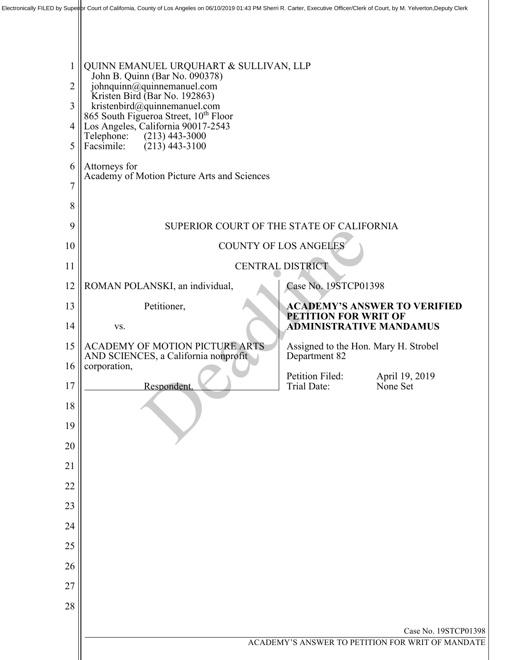| $\mathbf 1$<br>2 | QUINN EMANUEL URQUHART & SULLIVAN, LLP<br>John B. Quinn (Bar No. 090378)<br>johnquinn@quinnemanuel.com<br>Kristen Bird (Bar No. 192863) |                             |                                                  |
|------------------|-----------------------------------------------------------------------------------------------------------------------------------------|-----------------------------|--------------------------------------------------|
| 3<br>4           | kristenbird@quinnemanuel.com<br>865 South Figueroa Street, 10 <sup>th</sup> Floor<br>Los Angeles, California 90017-2543                 |                             |                                                  |
| 5                | Telephone:<br>$(213)$ 443-3000<br>$(213)$ 443-3100<br>Facsimile:                                                                        |                             |                                                  |
| 6                | Attorneys for<br>Academy of Motion Picture Arts and Sciences                                                                            |                             |                                                  |
| $\overline{7}$   |                                                                                                                                         |                             |                                                  |
| 8                |                                                                                                                                         |                             |                                                  |
| 9                | SUPERIOR COURT OF THE STATE OF CALIFORNIA                                                                                               |                             |                                                  |
| 10<br>11         | <b>COUNTY OF LOS ANGELES</b><br><b>CENTRAL DISTRICT</b>                                                                                 |                             |                                                  |
| 12               | ROMAN POLANSKI, an individual,                                                                                                          | Case No. 19STCP01398        |                                                  |
| 13               | Petitioner,                                                                                                                             |                             | <b>ACADEMY'S ANSWER TO VERIFIED</b>              |
| 14               | VS.                                                                                                                                     | <b>PETITION FOR WRIT OF</b> | ADMINISTRATIVE MANDAMUS                          |
| 15               | <b>ACADEMY OF MOTION PICTURE ARTS</b><br>AND SCIENCES, a California nonprofit                                                           | Department 82               | Assigned to the Hon. Mary H. Strobel             |
| 16               | corporation,                                                                                                                            | Petition Filed:             | April 19, 2019                                   |
| 17               | Respondent.                                                                                                                             | Trial Date:                 | None Set                                         |
| 18               |                                                                                                                                         |                             |                                                  |
| 19               |                                                                                                                                         |                             |                                                  |
| 20<br>21         |                                                                                                                                         |                             |                                                  |
| 22               |                                                                                                                                         |                             |                                                  |
| 23               |                                                                                                                                         |                             |                                                  |
| 24               |                                                                                                                                         |                             |                                                  |
| 25               |                                                                                                                                         |                             |                                                  |
| 26               |                                                                                                                                         |                             |                                                  |
| 27               |                                                                                                                                         |                             |                                                  |
| 28               |                                                                                                                                         |                             |                                                  |
|                  |                                                                                                                                         |                             | Case No. 19STCP01398                             |
|                  |                                                                                                                                         |                             | ACADEMY'S ANSWER TO PETITION FOR WRIT OF MANDATE |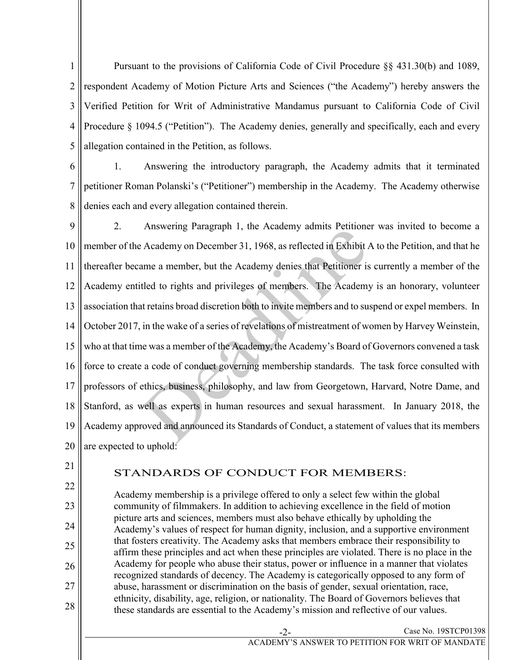1 2 3 4 5 Pursuant to the provisions of California Code of Civil Procedure §§ 431.30(b) and 1089, respondent Academy of Motion Picture Arts and Sciences ("the Academy") hereby answers the Verified Petition for Writ of Administrative Mandamus pursuant to California Code of Civil Procedure § 1094.5 ("Petition"). The Academy denies, generally and specifically, each and every allegation contained in the Petition, as follows.

6 7 8 1. Answering the introductory paragraph, the Academy admits that it terminated petitioner Roman Polanski's ("Petitioner") membership in the Academy. The Academy otherwise denies each and every allegation contained therein.

9 10 11 12 13 14 15 16 17 18 19 20 2. Answering Paragraph 1, the Academy admits Petitioner was invited to become a member of the Academy on December 31, 1968, as reflected in Exhibit A to the Petition, and that he thereafter became a member, but the Academy denies that Petitioner is currently a member of the Academy entitled to rights and privileges of members. The Academy is an honorary, volunteer association that retains broad discretion both to invite members and to suspend or expel members. In October 2017, in the wake of a series of revelations of mistreatment of women by Harvey Weinstein, who at that time was a member of the Academy, the Academy's Board of Governors convened a task force to create a code of conduct governing membership standards. The task force consulted with professors of ethics, business, philosophy, and law from Georgetown, Harvard, Notre Dame, and Stanford, as well as experts in human resources and sexual harassment. In January 2018, the Academy approved and announced its Standards of Conduct, a statement of values that its members are expected to uphold: Ariswelling 1 alagraph 1, the Academy anims 1 enfolded Academy on December 31, 1968, as reflected in Exhibit  $t$  alame a member, but the Academy denies that Petitioner is tled to rights and privileges of members. The Acad

21

22

23

24

25

26

27

28

## STANDARDS OF CONDUCT FOR MEMBERS:

Academy membership is a privilege offered to only a select few within the global community of filmmakers. In addition to achieving excellence in the field of motion picture arts and sciences, members must also behave ethically by upholding the Academy's values of respect for human dignity, inclusion, and a supportive environment that fosters creativity. The Academy asks that members embrace their responsibility to affirm these principles and act when these principles are violated. There is no place in the Academy for people who abuse their status, power or influence in a manner that violates recognized standards of decency. The Academy is categorically opposed to any form of abuse, harassment or discrimination on the basis of gender, sexual orientation, race, ethnicity, disability, age, religion, or nationality. The Board of Governors believes that these standards are essential to the Academy's mission and reflective of our values.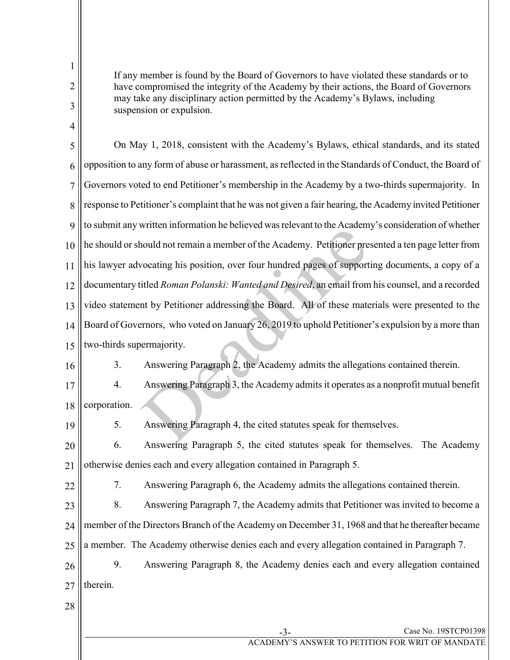1 2 3 4 5 6 7 8 9 10 11 12 13 14 15 16 17 18 19 20 21 22 23 24 25 26 27 28 If any member is found by the Board of Governors to have violated these standards or to have compromised the integrity of the Academy by their actions, the Board of Governors may take any disciplinary action permitted by the Academy's Bylaws, including suspension or expulsion. On May 1, 2018, consistent with the Academy's Bylaws, ethical standards, and its stated opposition to any form of abuse or harassment, as reflected in the Standards of Conduct, the Board of Governors voted to end Petitioner's membership in the Academy by a two-thirds supermajority. In response to Petitioner's complaint that he was not given a fair hearing, the Academy invited Petitioner to submit any written information he believed was relevant to the Academy's consideration of whether he should or should not remain a member of the Academy. Petitioner presented a ten page letter from his lawyer advocating his position, over four hundred pages of supporting documents, a copy of a documentary titled *Roman Polanski: Wanted and Desired*, an email from his counsel, and a recorded video statement by Petitioner addressing the Board. All of these materials were presented to the Board of Governors, who voted on January 26, 2019 to uphold Petitioner's expulsion by a more than two-thirds supermajority. 3. Answering Paragraph 2, the Academy admits the allegations contained therein. 4. Answering Paragraph 3, the Academy admits it operates as a nonprofit mutual benefit corporation. 5. Answering Paragraph 4, the cited statutes speak for themselves. 6. Answering Paragraph 5, the cited statutes speak for themselves. The Academy otherwise denies each and every allegation contained in Paragraph 5. 7. Answering Paragraph 6, the Academy admits the allegations contained therein. 8. Answering Paragraph 7, the Academy admits that Petitioner was invited to become a member of the Directors Branch of the Academy on December 31, 1968 and that he thereafter became a member. The Academy otherwise denies each and every allegation contained in Paragraph 7. 9. Answering Paragraph 8, the Academy denies each and every allegation contained therein. much internation it concrete was relevant to the riculation<br>nould not remain a member of the Academy. Petitioner pre<br>vocating his position, over four hundred pages of support<br>itled *Roman Polanski: Wanted and Desired*, an

Case No. 19STCP01398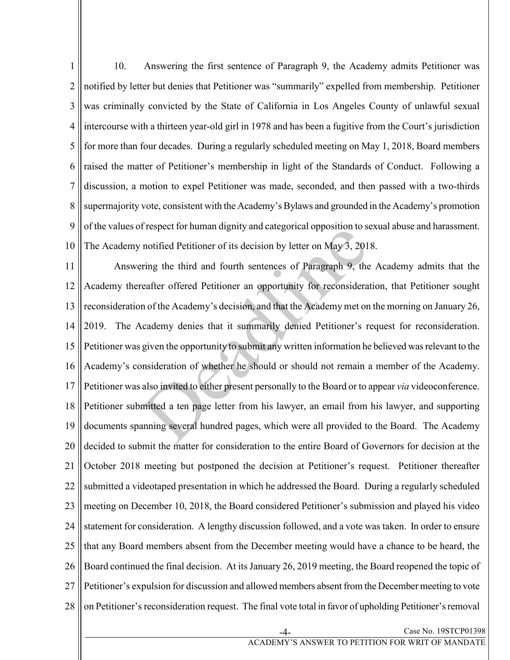1 2 3 4 5 6 7 8 9 10 10. Answering the first sentence of Paragraph 9, the Academy admits Petitioner was notified by letter but denies that Petitioner was "summarily" expelled from membership. Petitioner was criminally convicted by the State of California in Los Angeles County of unlawful sexual intercourse with a thirteen year-old girl in 1978 and has been a fugitive from the Court's jurisdiction for more than four decades. During a regularly scheduled meeting on May 1, 2018, Board members raised the matter of Petitioner's membership in light of the Standards of Conduct. Following a discussion, a motion to expel Petitioner was made, seconded, and then passed with a two-thirds supermajority vote, consistent with the Academy's Bylaws and grounded in the Academy's promotion of the values of respect for human dignity and categorical opposition to sexual abuse and harassment. The Academy notified Petitioner of its decision by letter on May 3, 2018.

11 12 13 14 15 16 17 18 19 20 21 22 23 24 25 26 27 28 Answering the third and fourth sentences of Paragraph 9, the Academy admits that the Academy thereafter offered Petitioner an opportunity for reconsideration, that Petitioner sought reconsideration of the Academy's decision, and that the Academy met on the morning on January 26, 2019. The Academy denies that it summarily denied Petitioner's request for reconsideration. Petitioner was given the opportunity to submit any written information he believed was relevant to the Academy's consideration of whether he should or should not remain a member of the Academy. Petitioner was also invited to either present personally to the Board or to appear *via* videoconference. Petitioner submitted a ten page letter from his lawyer, an email from his lawyer, and supporting documents spanning several hundred pages, which were all provided to the Board. The Academy decided to submit the matter for consideration to the entire Board of Governors for decision at the October 2018 meeting but postponed the decision at Petitioner's request. Petitioner thereafter submitted a videotaped presentation in which he addressed the Board. During a regularly scheduled meeting on December 10, 2018, the Board considered Petitioner's submission and played his video statement for consideration. A lengthy discussion followed, and a vote was taken. In order to ensure that any Board members absent from the December meeting would have a chance to be heard, the Board continued the final decision. At its January 26, 2019 meeting, the Board reopened the topic of Petitioner's expulsion for discussion and allowed members absent from the December meeting to vote on Petitioner's reconsideration request. The final vote total in favor of upholding Petitioner's removal It spect for infinial trightly and categorical opposition to solution<br>and the distribution of its decision by letter on May 3, 201<br>ring the third and fourth sentences of Paragraph 9, the<br>reafter offered Petitioner an oppor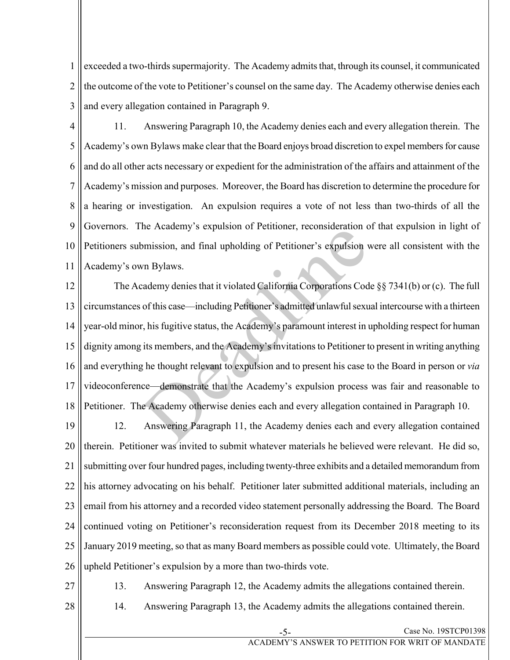1 2 3 exceeded a two-thirds supermajority. The Academy admits that, through its counsel, it communicated the outcome of the vote to Petitioner's counsel on the same day. The Academy otherwise denies each and every allegation contained in Paragraph 9.

4 5 6 7 8 9 10 11 11. Answering Paragraph 10, the Academy denies each and every allegation therein. The Academy's own Bylaws make clear that the Board enjoys broad discretion to expel members for cause and do all other acts necessary or expedient for the administration of the affairs and attainment of the Academy's mission and purposes. Moreover, the Board has discretion to determine the procedure for a hearing or investigation. An expulsion requires a vote of not less than two-thirds of all the Governors. The Academy's expulsion of Petitioner, reconsideration of that expulsion in light of Petitioners submission, and final upholding of Petitioner's expulsion were all consistent with the Academy's own Bylaws.

12 13 14 15 16 17 18 The Academy denies that it violated California Corporations Code §§ 7341(b) or (c). The full circumstances of this case—including Petitioner's admitted unlawful sexual intercourse with a thirteen year-old minor, his fugitive status, the Academy's paramount interest in upholding respect for human dignity among its members, and the Academy's invitations to Petitioner to present in writing anything and everything he thought relevant to expulsion and to present his case to the Board in person or *via* videoconference—demonstrate that the Academy's expulsion process was fair and reasonable to Petitioner. The Academy otherwise denies each and every allegation contained in Paragraph 10. Inc. Academy s expulsion of Fernoner, reconsideration explorison, and final upholding of Petitioner's expulsion v<br>
wn Bylaws.<br>
cademy denies that it violated California Corporations Cod<br>
of this case—including Petitioner's

19 20 21 22 23 24 25 26 12. Answering Paragraph 11, the Academy denies each and every allegation contained therein. Petitioner was invited to submit whatever materials he believed were relevant. He did so, submitting over four hundred pages, including twenty-three exhibits and a detailed memorandum from his attorney advocating on his behalf. Petitioner later submitted additional materials, including an email from his attorney and a recorded video statement personally addressing the Board. The Board continued voting on Petitioner's reconsideration request from its December 2018 meeting to its January 2019 meeting, so that as many Board members as possible could vote. Ultimately, the Board upheld Petitioner's expulsion by a more than two-thirds vote.

27

13. Answering Paragraph 12, the Academy admits the allegations contained therein.

14. Answering Paragraph 13, the Academy admits the allegations contained therein.

28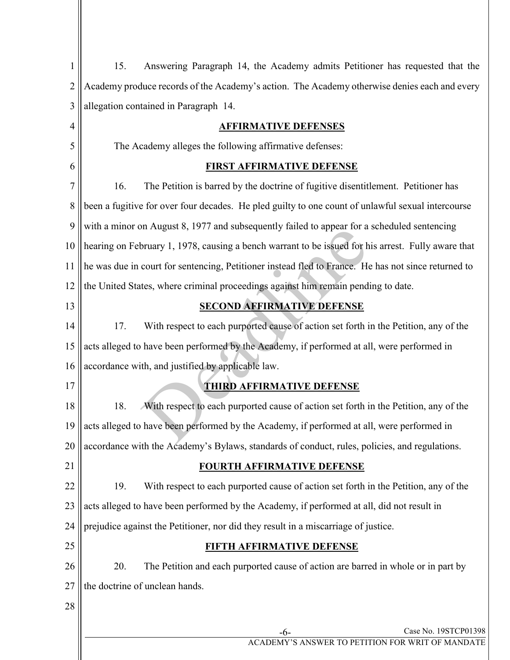| $\mathbf{1}$     | Answering Paragraph 14, the Academy admits Petitioner has requested that the<br>15.                 |
|------------------|-----------------------------------------------------------------------------------------------------|
| $\overline{2}$   | Academy produce records of the Academy's action. The Academy otherwise denies each and every        |
| 3                | allegation contained in Paragraph 14.                                                               |
| 4                | <b>AFFIRMATIVE DEFENSES</b>                                                                         |
| 5                | The Academy alleges the following affirmative defenses:                                             |
| 6                | <b>FIRST AFFIRMATIVE DEFENSE</b>                                                                    |
| $\overline{7}$   | The Petition is barred by the doctrine of fugitive disentitlement. Petitioner has<br>16.            |
| $\, 8$           | been a fugitive for over four decades. He pled guilty to one count of unlawful sexual intercourse   |
| $\boldsymbol{9}$ | with a minor on August 8, 1977 and subsequently failed to appear for a scheduled sentencing         |
| 10               | hearing on February 1, 1978, causing a bench warrant to be issued for his arrest. Fully aware that  |
| 11               | he was due in court for sentencing, Petitioner instead fled to France. He has not since returned to |
| 12               | the United States, where criminal proceedings against him remain pending to date.                   |
| 13               | <b>SECOND AFFIRMATIVE DEFENSE</b>                                                                   |
| 14               | With respect to each purported cause of action set forth in the Petition, any of the<br>17.         |
| 15               | acts alleged to have been performed by the Academy, if performed at all, were performed in          |
| 16               | accordance with, and justified by applicable law.                                                   |
| 17               | <b>THIRD AFFIRMATIVE DEFENSE</b>                                                                    |
| 18               | 18.<br>With respect to each purported cause of action set forth in the Petition, any of the         |
| 19               | acts alleged to have been performed by the Academy, if performed at all, were performed in          |
| 20               | accordance with the Academy's Bylaws, standards of conduct, rules, policies, and regulations.       |
| 21               | <b>FOURTH AFFIRMATIVE DEFENSE</b>                                                                   |
| 22               | 19.<br>With respect to each purported cause of action set forth in the Petition, any of the         |
| 23               | acts alleged to have been performed by the Academy, if performed at all, did not result in          |
| 24               | prejudice against the Petitioner, nor did they result in a miscarriage of justice.                  |
| 25               | FIFTH AFFIRMATIVE DEFENSE                                                                           |
| 26               | 20.<br>The Petition and each purported cause of action are barred in whole or in part by            |
| 27               | the doctrine of unclean hands.                                                                      |
| 28               |                                                                                                     |
|                  | Case No. 19STCP01398<br>-6-                                                                         |
|                  | ACADEMY'S ANSWER TO PETITION FOR WRIT OF MANDATE                                                    |

 $\mathsf{I}$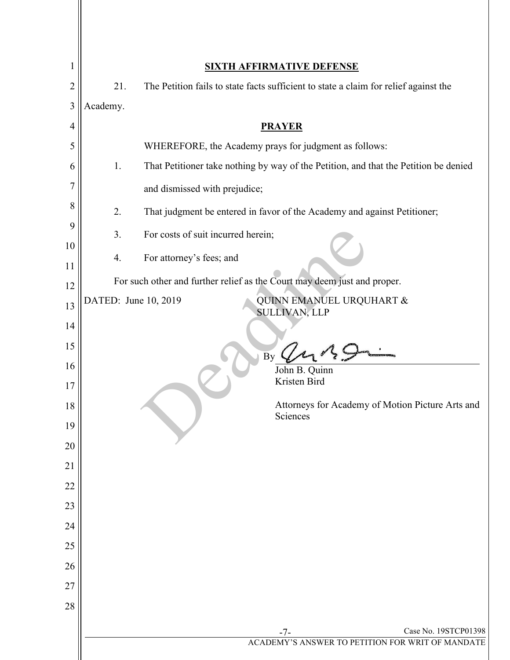| 1              |                      | <b>SIXTH AFFIRMATIVE DEFENSE</b>                                                     |
|----------------|----------------------|--------------------------------------------------------------------------------------|
| $\overline{2}$ | 21.                  | The Petition fails to state facts sufficient to state a claim for relief against the |
| 3              | Academy.             |                                                                                      |
| 4              |                      | <b>PRAYER</b>                                                                        |
| 5              |                      | WHEREFORE, the Academy prays for judgment as follows:                                |
| 6              | 1.                   | That Petitioner take nothing by way of the Petition, and that the Petition be denied |
| $\overline{7}$ |                      | and dismissed with prejudice;                                                        |
| 8              | 2.                   | That judgment be entered in favor of the Academy and against Petitioner;             |
| 9              | 3.                   | For costs of suit incurred herein;                                                   |
| 10             | 4.                   | For attorney's fees; and                                                             |
| 11<br>12       |                      | For such other and further relief as the Court may deem just and proper.             |
| 13             | DATED: June 10, 2019 | QUINN EMANUEL URQUHART &                                                             |
| 14             |                      | <b>SULLIVAN, LLP</b>                                                                 |
| 15             |                      |                                                                                      |
| 16             |                      | By<br>John B. Quinn                                                                  |
| 17             |                      | Kristen Bird                                                                         |
| 18             |                      | Attorneys for Academy of Motion Picture Arts and                                     |
| 19             |                      | Sciences                                                                             |
| 20             |                      |                                                                                      |
| 21             |                      |                                                                                      |
| 22             |                      |                                                                                      |
| 23             |                      |                                                                                      |
| 24             |                      |                                                                                      |
| 25             |                      |                                                                                      |
| 26             |                      |                                                                                      |
| 27             |                      |                                                                                      |
| 28             |                      |                                                                                      |
|                |                      | Case No. 19STCP01398<br>$-7-$<br>ACADEMY'S ANSWER TO PETITION FOR WRIT OF MANDATE    |
|                |                      |                                                                                      |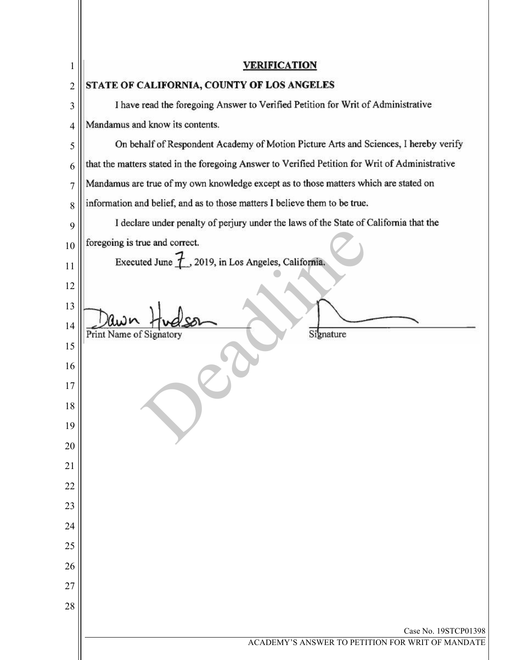| 1              | <b>VERIFICATION</b>                                                                             |
|----------------|-------------------------------------------------------------------------------------------------|
| $\overline{c}$ | STATE OF CALIFORNIA, COUNTY OF LOS ANGELES                                                      |
| 3              | I have read the foregoing Answer to Verified Petition for Writ of Administrative                |
| 4              | Mandamus and know its contents.                                                                 |
| 5              | On behalf of Respondent Academy of Motion Picture Arts and Sciences, I hereby verify            |
| 6              | that the matters stated in the foregoing Answer to Verified Petition for Writ of Administrative |
| $\overline{7}$ | Mandamus are true of my own knowledge except as to those matters which are stated on            |
| 8              | information and belief, and as to those matters I believe them to be true.                      |
| 9              | I declare under penalty of perjury under the laws of the State of California that the           |
| 10             | foregoing is true and correct.                                                                  |
| 11             | Executed June $\overline{f}$ , 2019, in Los Angeles, California.                                |
| 12             |                                                                                                 |
| 13             |                                                                                                 |
| 14             | Print Name of Signatory<br>Signature                                                            |
| 15             |                                                                                                 |
| 16             |                                                                                                 |
| 17             |                                                                                                 |
| 18             |                                                                                                 |
| 19             |                                                                                                 |
| 20             |                                                                                                 |
| 21             |                                                                                                 |
| 22             |                                                                                                 |
| 23             |                                                                                                 |
| 24             |                                                                                                 |
| 25             |                                                                                                 |
| 26             |                                                                                                 |
| 27             |                                                                                                 |
| 28             |                                                                                                 |
|                | Case No. 19STCP01398                                                                            |
|                | ACADEMY'S ANSWER TO PETITION FOR WRIT OF MANDATE                                                |
|                |                                                                                                 |